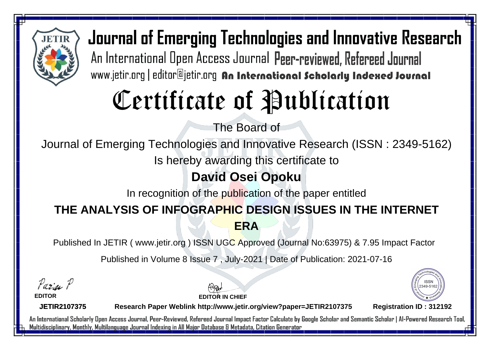

Journal of Emerging Technologies and Innovative Research An International Open Access Journal Peer-reviewed, Refereed Journal www.jetir.org | editor@jetir.org An International Scholarly Indexed Journal

# Certificate of Publication

The Board of

Journal of Emerging Technologies and Innovative Research (ISSN : 2349-5162)

Is hereby awarding this certificate to

### **David Osei Opoku**

In recognition of the publication of the paper entitled

### **THE ANALYSIS OF INFOGRAPHIC DESIGN ISSUES IN THE INTERNET ERA**

Published In JETIR ( www.jetir.org ) ISSN UGC Approved (Journal No: 63975) & 7.95 Impact Factor

Published in Volume 8 Issue 7 , July-2021 | Date of Publication: 2021-07-16

Parin P

**EDITOR**

**EDITOR IN CHIEF**



**JETIR2107375**

**Research Paper Weblink http://www.jetir.org/view?paper=JETIR2107375 Registration ID : 312192**

An International Scholarly Open Access Journal, Peer-Reviewed, Refereed Journal Impact Factor Calculate by Google Scholar and Semantic Scholar | Al-Powered Research Tool, Multidisciplinary, Monthly, Multilanguage Journal Indexing in All Major Database & Metadata, Citation Generator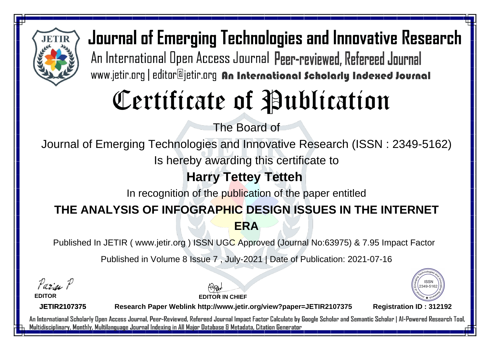

Journal of Emerging Technologies and Innovative Research An International Open Access Journal Peer-reviewed, Refereed Journal www.jetir.org | editor@jetir.org An International Scholarly Indexed Journal

# Certificate of Publication

The Board of

Journal of Emerging Technologies and Innovative Research (ISSN : 2349-5162)

Is hereby awarding this certificate to

### **Harry Tettey Tetteh**

In recognition of the publication of the paper entitled

#### **THE ANALYSIS OF INFOGRAPHIC DESIGN ISSUES IN THE INTERNET ERA**

Published In JETIR ( www.jetir.org ) ISSN UGC Approved (Journal No: 63975) & 7.95 Impact Factor

Published in Volume 8 Issue 7 , July-2021 | Date of Publication: 2021-07-16

Parin P

**EDITOR**

**EDITOR IN CHIEF**



**JETIR2107375**

**Research Paper Weblink http://www.jetir.org/view?paper=JETIR2107375 Registration ID : 312192**

An International Scholarly Open Access Journal, Peer-Reviewed, Refereed Journal Impact Factor Calculate by Google Scholar and Semantic Scholar | Al-Powered Research Tool, Multidisciplinary, Monthly, Multilanguage Journal Indexing in All Major Database & Metadata, Citation Generator